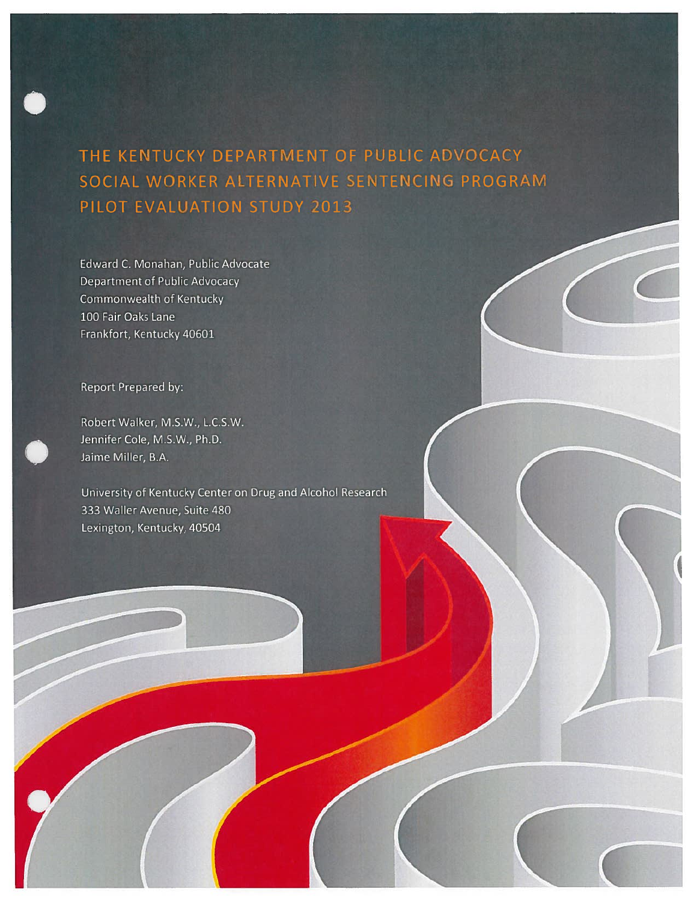THE KENTUCKY DEPARTMENT OF PUBLIC ADVOCACY SOCIAL WORKER ALTERNATIVE SENTENCING PROGRAM PILOT EVALUATION STUDY 2013

Edward C. Monahan, Public Advocate **Department of Public Advocacy** Commonwealth of Kentucky 100 Fair Oaks Lane Frankfort, Kentucky 40601

Report Prepared by:

Robert Walker, M.S.W., L.C.S.W. Jennifer Cole, M.S.W., Ph.D. Jaime Miller, B.A.

University of Kentucky Center on Drug and Alcohol Research 333 Waller Avenue, Suite 480 Lexington, Kentucky, 40504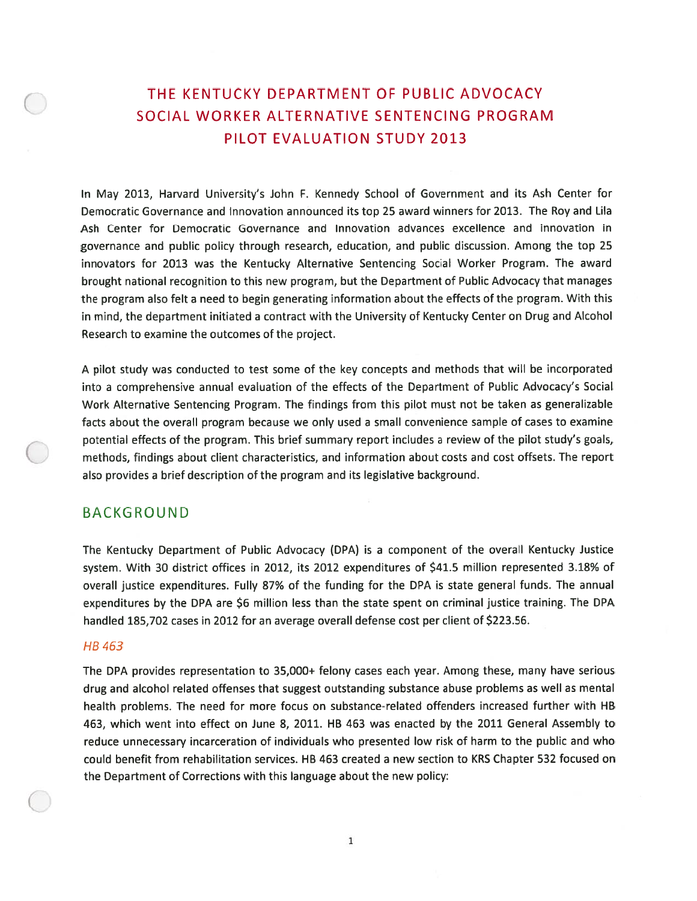# THE KENTUCKY DEPARTMENT OF PUBLIC ADVOCACY SOCIAL WORKER ALTERNATIVE SENTENCING PROGRAM PILOT EVALUATION STUDY 2013

In May 2013, Harvard University's John F. Kennedy School of Government and its Ash Center for Democratic Governance and Innovation announced its top 25 award winners for 2013. The Roy and Lila Ash Center for Democratic Governance and Innovation advances excellence and innovation in governance and public policy through research, education, and public discussion. Among the top 25 innovators for 2013 was the Kentucky Alternative Sentencing Social Worker Program. The award brought national recognition to this new program, but the Department of Public Advocacy that manages the program also felt <sup>a</sup> need to begin generating information about the effects of the program. With this in mind, the department initiated <sup>a</sup> contract with the University of Kentucky Center on Drug and Alcohol Research to examine the outcomes of the project.

<sup>A</sup> <sup>p</sup>ilot study was conducted to test some of the key concepts and methods that will be incorporated into <sup>a</sup> comprehensive annual evaluation of the effects of the Department of Public Advocacy's Social Work Alternative Sentencing Program. The findings from this pilot must not be taken as generalizable facts about the overall program because we only used <sup>a</sup> small convenience sample of cases to examine potential effects of the program. This brief summary repor<sup>t</sup> includes <sup>a</sup> review of the pilot study's goals, methods, findings about client characteristics, and information about costs and cost offsets. The repor<sup>t</sup> also provides <sup>a</sup> brief description of the program and its legislative background.

## BACKGROUND

The Kentucky Department of Public Advocacy (DPA) is <sup>a</sup> componen<sup>t</sup> of the overall Kentucky Justice system. With 30 district offices in 2012, its 2012 expenditures of \$41.5 million represented 3.18% of overall justice expenditures. Fully 87% of the funding for the DPA is state genera<sup>l</sup> funds. The annual expenditures by the DPA are \$6 million less than the state spen<sup>t</sup> on criminal justice training. The DPA handled 185,702 cases in 2012 for an average overall defense cost per client of \$223.56.

### HB463

The DPA provides representation to 35,000+ felony cases each year. Among these, many have serious drug and alcohol related offenses that sugges<sup>t</sup> outstanding substance abuse problems as well as mental health problems. The need for more focus on substance-related offenders increased further with HB 463, which went into effect on June 8, 2011. HB 463 was enacted by the 2011 General Assembly to reduce unnecessary incarceration of individuals who presented low risk of harm to the public and who could benefit from rehabilitation services. HB 463 created <sup>a</sup> new section to KRS Chapter 532 focused on the Department of Corrections with this language about the new policy:

1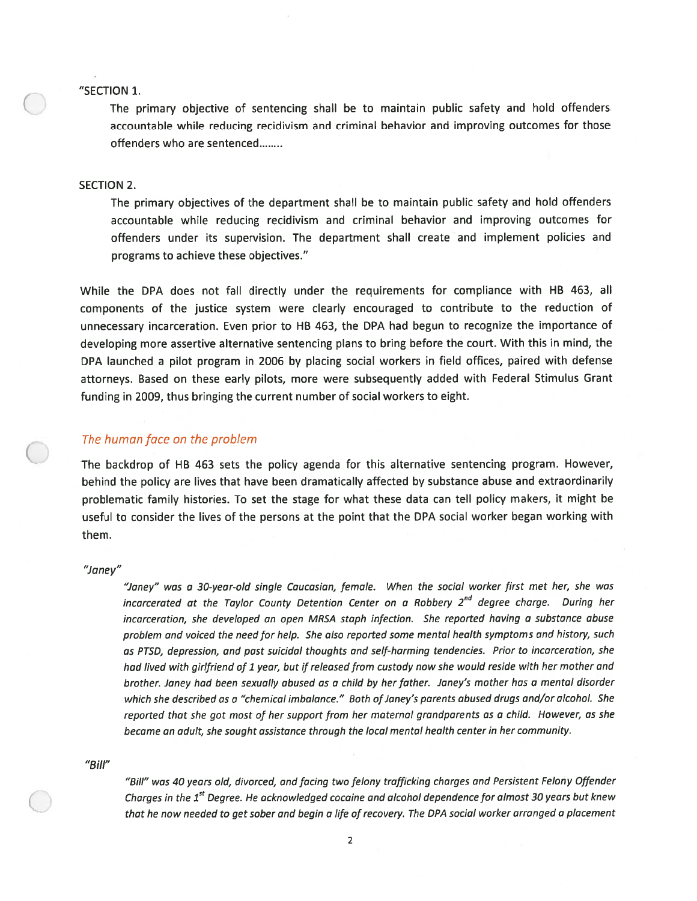#### "SECTION 1.

The primary objective of sentencing shall be to maintain public safety and hold offenders accountable while reducing recidivism and criminal behavior and improving outcomes for those offenders who are sentenced

### SECTION 2.

The primary objectives of the department shall be to maintain public safety and hold offenders accountable while reducing recidivism and criminal behavior and improving outcomes for offenders under its supervision. The department shall create and implement policies and programs to achieve these objectives."

While the DPA does not fall directly under the requirements for compliance with HB 463, all components of the justice system were clearly encourage<sup>d</sup> to contribute to the reduction of unnecessary incarceration. Even prior to HB 463, the DPA had begun to recognize the importance of developing more assertive alternative sentencing <sup>p</sup>lans to bring before the court. With this in mind, the DPA launched <sup>a</sup> <sup>p</sup>ilot program in 2006 by <sup>p</sup>lacing social workers in field offices, paired with defense attorneys. Based on these early <sup>p</sup>ilots, more were subsequently added with Federal Stimulus Grant funding in 2009, thus bringing the current number of social workers to eight.

### The human face on the problem

The backdrop of HB 463 sets the policy agenda for this alternative sentencing program. However, behind the policy are lives that have been dramatically affected by substance abuse and extraordinarily problematic family histories. To set the stage for what these data can tell policy makers, it might be useful to consider the lives of the persons at the point that the DPA social worker began working with them.

#### "Janey"

"Janey" was <sup>a</sup> 30-year-old single Caucasian, female. When the social worker first met her, she was incarcerated at the Taylor County Detention Center on a Robbery 2<sup>nd</sup> degree charge. During her incarceration, she developed an open MRSA staph infection. She reported having <sup>a</sup> substance abuse problem and voiced the need for help. She also reported some mental health symptoms and history, such as PTSD, depression, and pas<sup>t</sup> suicidal thoughts and self-harming tendencies. Prior to incarceration, she had lived with girlfriend of 1 year, but if released from custody now she would reside with her mother and brother. Janey had been sexually abused as <sup>a</sup> child by her father. Janey's mother has <sup>a</sup> mental disorder which she described as a "chemical imbalance." Both of Janey's parents abused drugs and/or alcohol. She reported that she go<sup>t</sup> most of her suppor<sup>t</sup> from her maternal grandparents as <sup>a</sup> child. However, as she become an adult, she sought assistance through the local mental health center in her community.

#### "Bill"

"Bill" was <sup>40</sup> years old, divorced, and facing two felony trafficking charges and Persistent Felony Offender Charges in the 1<sup>st</sup> Degree. He acknowledged cocaine and alcohol dependence for almost 30 years but knew that he now needed to ge<sup>t</sup> sober and begin <sup>a</sup> life of recovery. The DPA social worker arrange<sup>d</sup> <sup>a</sup> <sup>p</sup>lacement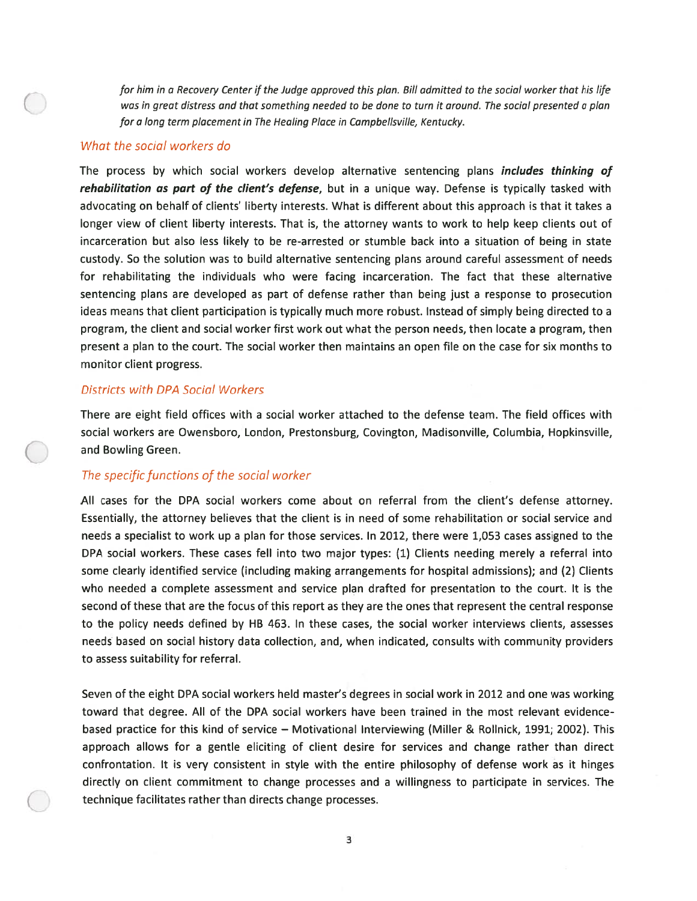for him in <sup>a</sup> Recovery Center if the Judge approved this plan. Bill admitted to the social worker that his life was in grea<sup>t</sup> distress and that something needed to be done to turn it around. The social presented <sup>a</sup> plan for <sup>a</sup> long term placement in The Healing Place in Campbellsville, Kentucky.

## What the social workers do

The process by which social workers develop alternative sentencing plans *includes thinking of* rehabilitation as part of the client's defense, but in a unique way. Defense is typically tasked with advocating on behalf of clients' liberty interests. What is different about this approach is that it takes <sup>a</sup> longer view of client liberty interests. That is, the attorney wants to work to help keep clients out of incarceration but also less likely to be re-arrested or stumble back into <sup>a</sup> situation of being in state custody. So the solution was to build alternative sentencing plans around careful assessment of needs for rehabilitating the individuals who were facing incarceration. The fact that these alternative sentencing plans are developed as par<sup>t</sup> of defense rather than being just <sup>a</sup> response to prosecution ideas means that client participation is typically much more robust. Instead of simply being directed to <sup>a</sup> program, the client and social worker first work out what the person needs, then locate <sup>a</sup> program, then presen<sup>t</sup> <sup>a</sup> plan to the court. The social worker then maintains an open file on the case for six months to monitor client progress.

### Districts with DPA Social Workers

There are eight field offices with <sup>a</sup> social worker attached to the defense team. The field offices with social workers are Owensboro, London, Prestonsburg, Covington, Madisonville, Columbia, Hopkinsville, and Bowling Green.

### The specific functions of the social worker

All cases for the DPA social workers come about on referral from the client's defense attorney. Essentially, the attorney believes that the client is in need of some rehabilitation or social service and needs <sup>a</sup> specialist to work up <sup>a</sup> plan for those services. In 2012, there were 1,053 cases assigned to the DPA social workers. These cases fell into two major types: (1) Clients needing merely <sup>a</sup> referral into some clearly identified service (including making arrangements for hospital admissions); and (2) Clients who needed <sup>a</sup> complete assessment and service plan drafted for presentation to the court. It is the second of these that are the focus of this repor<sup>t</sup> as they are the ones that represen<sup>t</sup> the central response to the policy needs defined by HB 463. In these cases, the social worker interviews clients, assesses needs based on social history data collection, and, when indicated, consults with community providers to assess suitability for referral.

Seven of the eight DPA social workers held master's degrees in social work in 2012 and one was working toward that degree. All of the DPA social workers have been trained in the most relevant evidence based practice for this kind of service — Motivational Interviewing (Miller & Rollnick, 1991; 2002). This approach allows for <sup>a</sup> gentle eliciting of client desire for services and change rather than direct confrontation. It is very consistent in style with the entire philosophy of defense work as it hinges directly on client commitment to change processes and <sup>a</sup> willingness to participate in services. The technique facilitates rather than directs change processes.

3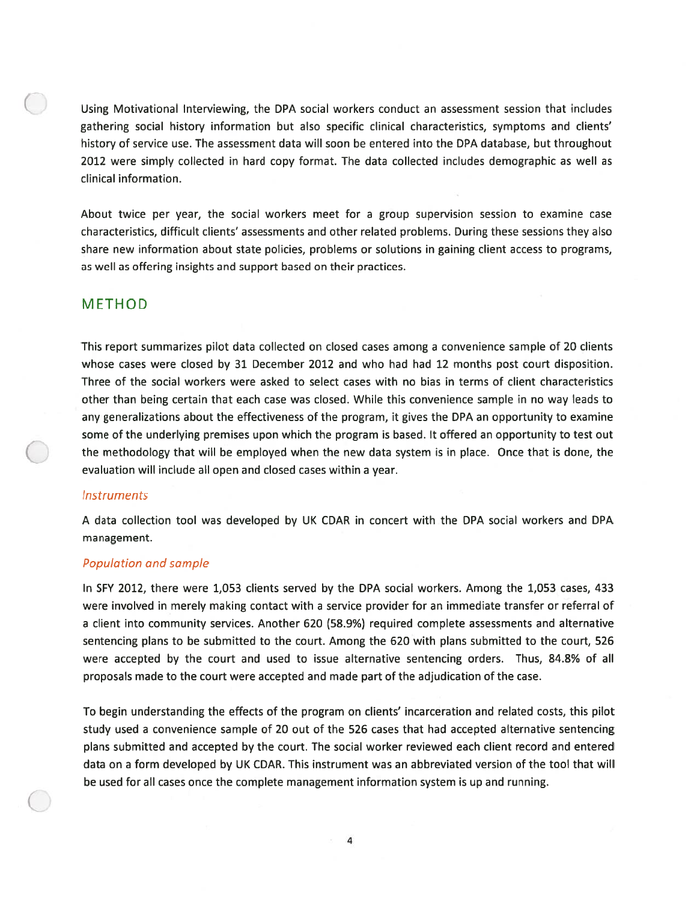Using Motivational Interviewing, the DPA social workers conduct an assessment session that includes gathering social history information but also specific clinical characteristics, symptoms and clients' history of service use. The assessment data will soon be entered into the DPA database, but throughout 2012 were simply collected in hard copy format. The data collected includes demographic as well as clinical information.

About twice per year, the social workers meet for <sup>a</sup> group supervision session to examine case characteristics, difficult clients' assessments and other related problems. During these sessions they also share new information about state policies, problems or solutions in gaining client access to programs, as well as offering insights and suppor<sup>t</sup> based on their practices.

## METHOD

This repor<sup>t</sup> summarizes pilot data collected on closed cases among <sup>a</sup> convenience sample of 20 clients whose cases were closed by 31 December 2012 and who had had 12 months pos<sup>t</sup> court disposition. Three of the social workers were asked to select cases with no bias in terms of client characteristics other than being certain that each case was closed. While this convenience sample in no way leads to any generalizations about the effectiveness of the program, it gives the DPA an opportunity to examine some of the underlying premises upon which the program is based. It offered an opportunity to test out the methodology that will be employed when the new data system is in place. Once that is done, the evaluation will include all open and closed cases within a year.

### **Instruments**

A data collection tool was developed by UK CDAR in concert with the DPA social workers and DPA management.

### Population and sample

In SFY 2012, there were 1,053 clients served by the DPA social workers. Among the 1,053 cases, 433 were involved in merely making contact with <sup>a</sup> service provider for an immediate transfer or referral of <sup>a</sup> client into community services. Another 620 (58.9%) required complete assessments and alternative sentencing plans to be submitted to the court. Among the 620 with plans submitted to the court, 526 were accepted by the court and used to issue alternative sentencing orders. Thus, 84.8% of all proposals made to the court were accepted and made par<sup>t</sup> of the adjudication of the case.

To begin understanding the effects of the program on clients' incarceration and related costs, this pilot study used <sup>a</sup> convenience sample of 20 out of the 526 cases that had accepted alternative sentencing plans submitted and accepted by the court. The social worker reviewed each client record and entered data on <sup>a</sup> form developed by UK CDAR. This instrument was an abbreviated version of the tool that will be used for all cases once the complete managemen<sup>t</sup> information system is up and running.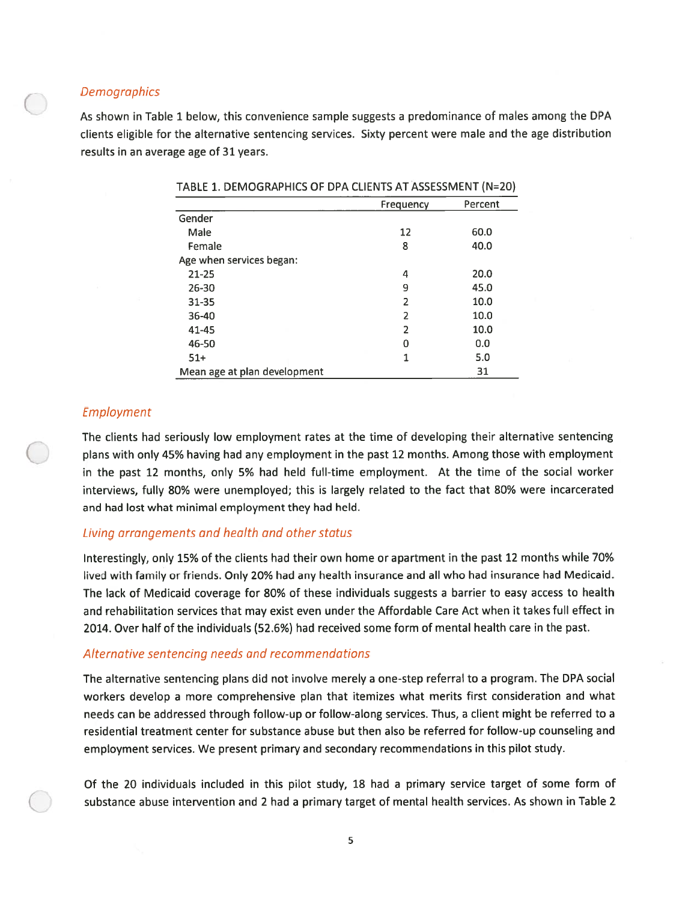## **Demographics**

As shown in Table <sup>1</sup> below, this convenience sample suggests <sup>a</sup> predominance of males among the DPA clients eligible for the alternative sentencing services. Sixty percen<sup>t</sup> were male and the age distribution results in an average age of 31 years.

|                              | Frequency | Percent |
|------------------------------|-----------|---------|
| Gender                       |           |         |
| Male                         | 12        | 60.0    |
| Female                       | 8         | 40.0    |
| Age when services began:     |           |         |
| $21 - 25$                    | 4         | 20.0    |
| $26 - 30$                    | 9         | 45.0    |
| $31 - 35$                    | 2         | 10.0    |
| 36-40                        | 2         | 10.0    |
| 41-45                        | 2         | 10.0    |
| 46-50                        | 0         | 0.0     |
| $51+$                        | 1         | 5.0     |
| Mean age at plan development |           | 31      |

TABLE 1. DEMOGRAPHICS OF DPA CLIENTS AT ASSESSMENT (N=20)

### Employment

The clients had seriously low employment rates at the time of developing their alternative sentencing plans with only 45% having had any employment in the pas<sup>t</sup> 12 months. Among those with employment in the pas<sup>t</sup> <sup>12</sup> months, only 5% had held full-time employment. At the time of the social worker interviews, fully 80% were unemployed; this is largely related to the fact that 80% were incarcerated and had lost what minimal employment they had held.

### Living arrangements and health and other status

Interestingly, only 15% of the clients had their own home or apartment in the pas<sup>t</sup> 12 months while 70% lived with family or friends. Only 20% had any health insurance and all who had insurance had Medicaid. The lack of Medicaid coverage for 80% of these individuals suggests <sup>a</sup> barrier to easy access to health and rehabilitation services that may exist even under the Affordable Care Act when it takes full effect in 2014. Over half of the individuals (52.6%) had received some form of mental health care in the past.

### Alternative sentencing needs and recommendations

The alternative sentencing plans did not involve merely <sup>a</sup> one-step referral to <sup>a</sup> program. The DPA social workers develop <sup>a</sup> more comprehensive <sup>p</sup>lan that itemizes what merits first consideration and what needs can be addressed through follow-up or follow-along services. Thus, <sup>a</sup> client might be referred to <sup>a</sup> residential treatment center for substance abuse but then also be referred for follow-up counseling and employment services. We presen<sup>t</sup> primary and secondary recommendations in this pilot study.

Of the 20 individuals included in this pilot study, 18 had <sup>a</sup> primary service target of some form of substance abuse intervention and 2 had <sup>a</sup> primary target of mental health services. As shown in Table 2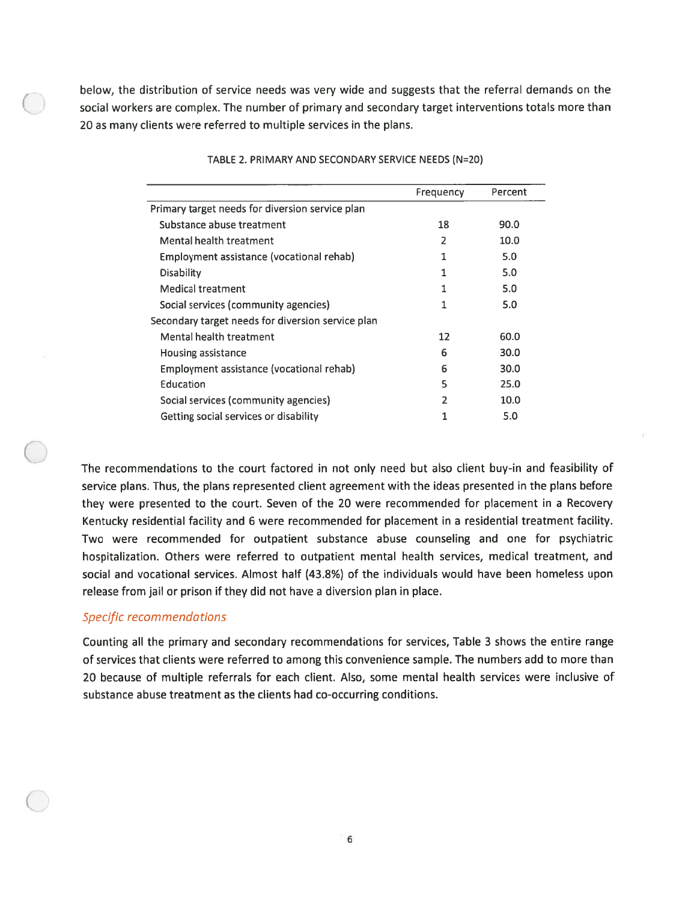below, the distribution of service needs was very wide and suggests that the referral demands on the social workers are complex. The number of primary and secondary target interventions totals more than 20 as many clients were referred to multiple services in the plans.

|                                                   | Frequency | Percent |
|---------------------------------------------------|-----------|---------|
|                                                   |           |         |
| Primary target needs for diversion service plan   |           |         |
| Substance abuse treatment                         | 18        | 90.0    |
| Mental health treatment                           | 2         | 10.0    |
| Employment assistance (vocational rehab)          | 1         | 5.0     |
| Disability                                        | 1         | 5.0     |
| <b>Medical treatment</b>                          |           | 5.0     |
| Social services (community agencies)              | 1         | 5.0     |
| Secondary target needs for diversion service plan |           |         |
| Mental health treatment                           | 12        | 60.0    |
| Housing assistance                                | 6         | 30.0    |
| Employment assistance (vocational rehab)          | 6         | 30.0    |
| Education                                         | 5         | 25.0    |
| Social services (community agencies)              | 2         | 10.0    |
| Getting social services or disability             | 1         | 5.0     |
|                                                   |           |         |

TABLE 2. PRIMARY AND SECONDARY SERVICE NEEDS (N=20)

The recommendations to the court factored in not only need but also client buy-in and feasibility of service plans. Thus, the plans represented client agreemen<sup>t</sup> with the ideas presented in the plans before they were presented to the court. Seven of the 20 were recommended for placement in <sup>a</sup> Recovery Kentucky residential facility and 6 were recommended for placement in <sup>a</sup> residential treatment facility. Two were recommended for outpatient substance abuse counseling and one for psychiatric hospitalization. Others were referred to outpatient mental health services, medical treatment, and social and vocational services. Almost half (43.8%) of the individuals would have been homeless upon release from jail or prison if they did not have <sup>a</sup> diversion plan in place.

### Specific recommendations

Counting all the primary and secondary recommendations for services, Table 3 shows the entire range of services that clients were referred to among this convenience sample. The numbers add to more than 20 because of multiple referrals for each client. Also, some mental health services were inclusive of substance abuse treatment as the clients had co-occurring conditions.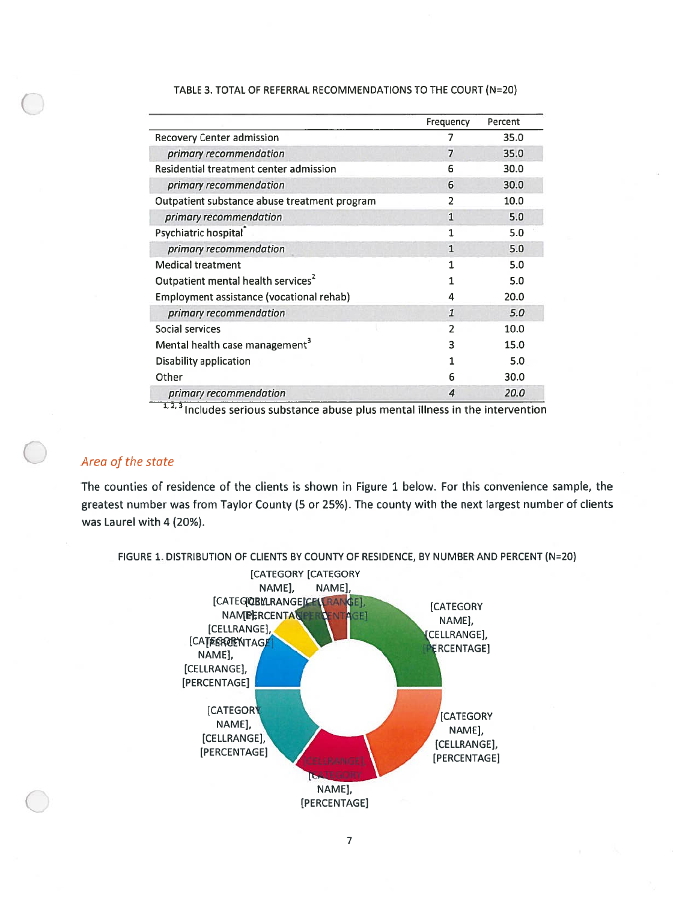|                                                | Frequency      | Percent |
|------------------------------------------------|----------------|---------|
| <b>Recovery Center admission</b>               |                | 35.0    |
| primary recommendation                         | $\overline{7}$ | 35.0    |
| Residential treatment center admission         | 6              | 30.0    |
| primary recommendation                         | 6              | 30.0    |
| Outpatient substance abuse treatment program   | 2              | 10.0    |
| primary recommendation                         | $\mathbf{1}$   | 5.0     |
| Psychiatric hospital                           |                | 5.0     |
| primary recommendation                         | $\mathbf{1}$   | 5.0     |
| <b>Medical treatment</b>                       | 1              | 5.0     |
| Outpatient mental health services <sup>2</sup> |                | 5.0     |
| Employment assistance (vocational rehab)       | 4              | 20.0    |
| primary recommendation                         | $\mathbf{1}$   | 5.0     |
| Social services                                | $\overline{z}$ | 10.0    |
| Mental health case management <sup>3</sup>     | 3              | 15.0    |
| Disability application                         | 1              | 5.0     |
| Other                                          | 6              | 30.0    |
| primary recommendation                         | 4              | 20.0    |

### TABLE 3. TOTAL OF REFERRAL RECOMMENDATIONS TO THE COURT (N=20)

1, 2, 3 Includes serious substance abuse plus mental illness in the intervention

## Area of the state

The counties of residence of the clients is shown in Figure 1 below. For this convenience sample, the greatest number was from Taylor County (5 or 25%). The county with the next largest number of clients was Laurel with 4 (20%).

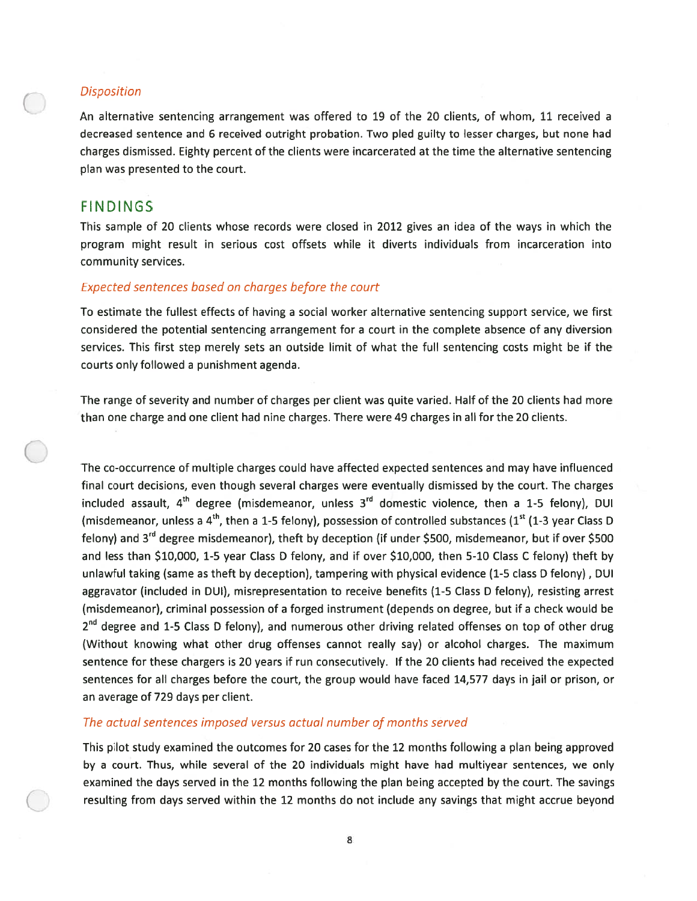## Disposition

An alternative sentencing arrangemen<sup>t</sup> was offered to 19 of the 20 clients, of whom, 11 received <sup>a</sup> decreased sentence and 6 received outright probation. Two pled guilty to lesser charges, but none had charges dismissed. Eighty percen<sup>t</sup> of the clients were incarcerated at the time the alternative sentencing plan was presented to the court.

## FINDINGS

This sample of 20 clients whose records were closed in 2012 gives an idea of the ways in which the program might result in serious cost offsets while it diverts individuals from incarceration into community services.

## Expected sentences based on charges before the court

To estimate the fullest effects of having <sup>a</sup> social worker alternative sentencing suppor<sup>t</sup> service, we first considered the potential sentencing arrangemen<sup>t</sup> for <sup>a</sup> court in the complete absence of any diversion services. This first step merely sets an outside limit of what the full sentencing costs might be if the courts only followed <sup>a</sup> punishment agenda.

The range of severity and number of charges per client was quite varied. Half of the 20 clients had mote than one charge and one client had nine charges. There were 49 charges in all for the 20 clients.

The co-occurrence of multiple charges could have affected expected sentences and may have influenced final court decisions, even though several charges were eventually dismissed by the court. The charges included assault,  $4<sup>th</sup>$  degree (misdemeanor, unless  $3<sup>rd</sup>$  domestic violence, then a 1-5 felony), DUI (misdemeanor, unless a 4<sup>th</sup>, then a 1-5 felony), possession of controlled substances (1<sup>st</sup> (1-3 year Class D) felony) and  $3^{rd}$  degree misdemeanor), theft by deception (if under \$500, misdemeanor, but if over \$500 and less than \$10,000, 1-5 year Class D felony, and if over \$10,000, then 5-10 Class C felony) theft by unlawful taking (same as theft by deception), tampering with physical evidence (1-5 class D felony) , DUI aggravator (included in DUI), misrepresentation to receive benefits (1-5 Class D felony), resisting arrest (misdemeanor), criminal possession of <sup>a</sup> forged instrument (depends on degree, but if <sup>a</sup> check would be 2<sup>nd</sup> degree and 1-5 Class D felony), and numerous other driving related offenses on top of other drug (Without knowing what other drug offenses cannot really say) or alcohol charges. The maximum sentence for these chargers is 20 years if run consecutively. If the 20 clients had received the expected sentences for all charges before the court, the group would have faced 14,577 days in jail or prison, or an average of 729 days per client.

### The actual sentences imposed versus actual number of months served

This pilot study examined the outcomes for 20 cases for the 12 months following <sup>a</sup> plan being approved by <sup>a</sup> court. Thus, while several of the 20 individuals might have had multiyear sentences, we only examined the days served in the 12 months following the plan being accepted by the court. The savings resulting from days served within the 12 months do not include any savings that might accrue beyond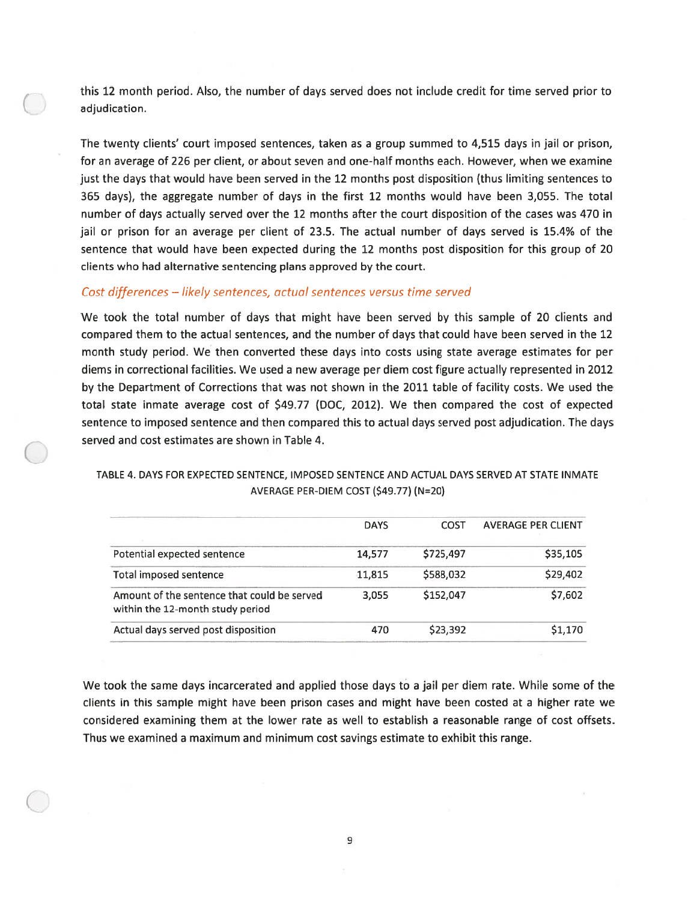this 12 month period. Also, the number of days served does not include credit for time served prior to adjudication.

The twenty clients' court imposed sentences, taken as <sup>a</sup> group summed to 4,515 days in jail or prison, for an average of 226 per client, or about seven and one-half months each. However, when we examine just the days that would have been served in the 12 months pos<sup>t</sup> disposition (thus limiting sentences to 365 days), the aggregate number of days in the first 12 months would have been 3,055. The total number of days actually served over the 12 months after the court disposition of the cases was 470 in jail or prison for an average per client of 23.5. The actual number of days served is 15.4% of the sentence that would have been expected during the 12 months pos<sup>t</sup> disposition for this group of 20 clients who had alternative sentencing plans approved by the court.

## Cost differences — likely sentences, actual sentences versus time served

We took the total number of days that might have been served by this sample of 20 clients and compared them to the actual sentences, and the number of days that could have been served in the 12 month study period. We then converted these days into costs using state average estimates for per diems in correctional facilities. We used <sup>a</sup> new average per diem cost figure actually represented in 2012 by the Department of Corrections that was not shown in the 2011 table of facility costs. We used the total state inmate average cost of \$49.77 (DOC, 2012). We then compared the cost of expected sentence to imposed sentence and then compared this to actual days served pos<sup>t</sup> adjudication. The days served and cost estimates are shown in Table 4.

### TABLE 4. DAYS FOR EXPECTED SENTENCE, IMPOSED SENTENCE AND ACTUAL DAYS SERVED AT STATE INMATE AVERAGE PER-DIEM COST (\$49.77) (N=20)

|                                                                                 | <b>DAYS</b> | COST      | <b>AVERAGE PER CLIENT</b> |
|---------------------------------------------------------------------------------|-------------|-----------|---------------------------|
| Potential expected sentence                                                     | 14,577      | \$725,497 | \$35,105                  |
| Total imposed sentence                                                          | 11,815      | \$588,032 | \$29,402                  |
| Amount of the sentence that could be served<br>within the 12-month study period | 3.055       | \$152,047 | \$7,602                   |
| Actual days served post disposition                                             | 470         | \$23,392  | \$1,170                   |

We took the same days incarcerated and applied those days to <sup>a</sup> jail per diem rate. While some of the clients in this sample might have been prison cases and might have been costed at <sup>a</sup> higher rate we considered examining them at the lower rate as well to establish <sup>a</sup> reasonable range of cost offsets. Thus we examined <sup>a</sup> maximum and minimum cost savings estimate to exhibit this range.

9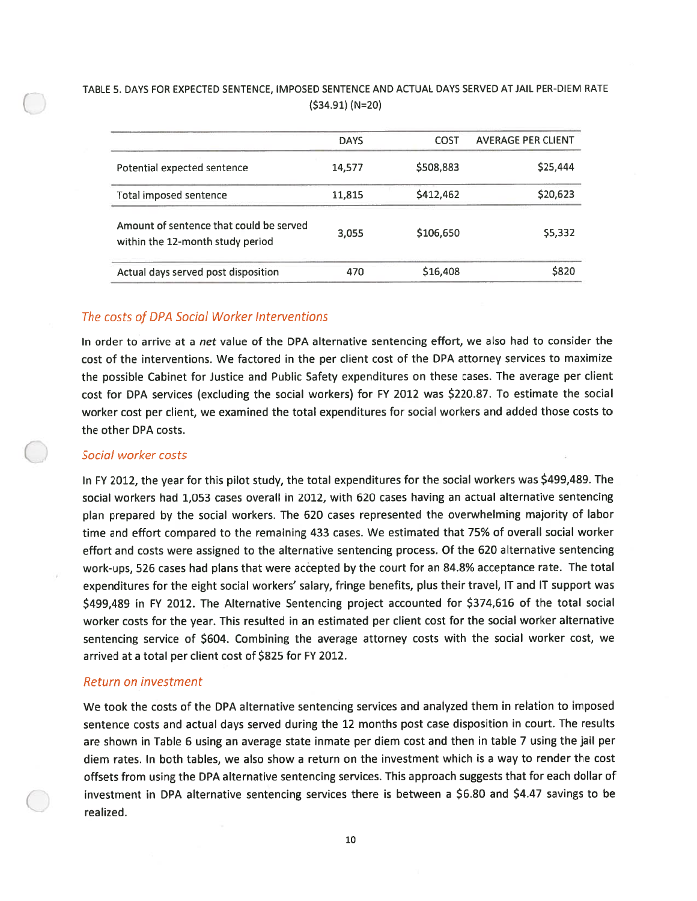## TABLE 5. DAYS FOR EXPECTED SENTENCE, IMPOSED SENTENCE AND ACTUAL DAYS SERVED AT JAIL PER-DIEM RATE (\$34.91) (N=20)

|                                                                             | <b>DAYS</b> | COST      | <b>AVERAGE PER CLIENT</b> |
|-----------------------------------------------------------------------------|-------------|-----------|---------------------------|
| Potential expected sentence                                                 | 14,577      | \$508,883 | \$25,444                  |
| Total imposed sentence                                                      | 11,815      | \$412,462 | \$20,623                  |
| Amount of sentence that could be served<br>within the 12-month study period | 3.055       | \$106,650 | \$5,332                   |
| Actual days served post disposition                                         | 470         | \$16,408  | \$820                     |

## The costs of DPA Social Worker Interventions

In order to arrive at <sup>a</sup> net value of the DPA alternative sentencing effort, we also had to consider the cost of the interventions. We factored in the per client cost of the DPA attorney services to maximize the possible Cabinet for Justice and Public Safety expenditures on these cases. The average per client cost for DPA services (excluding the social workers) for FY 2012 was \$220.87. To estimate the social worker cost per client, we examined the total expenditures for social workers and added those costs to the other DPA costs.

### Social worker costs

In FY 2012, the year for this <sup>p</sup>ilot study, the total expenditures for the social workers was \$499,489. The social workers had 1,053 cases overall in 2012, with 620 cases having an actual alternative sentencing <sup>p</sup>lan prepare<sup>d</sup> by the social workers. The <sup>620</sup> cases represented the overwhelming majority of labor time and effort compared to the remaining <sup>433</sup> cases. We estimated that 75% of overall social worker effort and costs were assigned to the alternative sentencing process. Of the <sup>620</sup> alternative sentencing work-ups, <sup>526</sup> cases had <sup>p</sup>lans that were accepted by the court for an 84.8% acceptance rate. The total expenditures for the eight social workers' salary, fringe benefits, <sup>p</sup>lus their travel, IT and IT suppor<sup>t</sup> was \$499,489 in FY 2012. The Alternative Sentencing project accounted for \$374,616 of the total social worker costs for the year. This resulted in an estimated per client cost for the social worker alternative sentencing service of \$604. Combining the average attorney costs with the social worker cost, we arrived at <sup>a</sup> total per client cost of \$825 for FY 2012.

### Return on investment

We took the costs of the DPA alternative sentencing services and analyzed them in relation to imposed sentence costs and actual days served during the <sup>12</sup> months pos<sup>t</sup> case disposition in court. The results are shown in Table <sup>6</sup> using an average state inmate per diem cost and then in table <sup>7</sup> using the jail per diem rates. In both tables, we also show <sup>a</sup> return on the investment which is <sup>a</sup> way to render the cost offsets from using the DPA alternative sentencing services. This approac<sup>h</sup> suggests that for each dollar of investment in DPA alternative sentencing services there is between <sup>a</sup> \$6.80 and \$4.47 savings to be realized.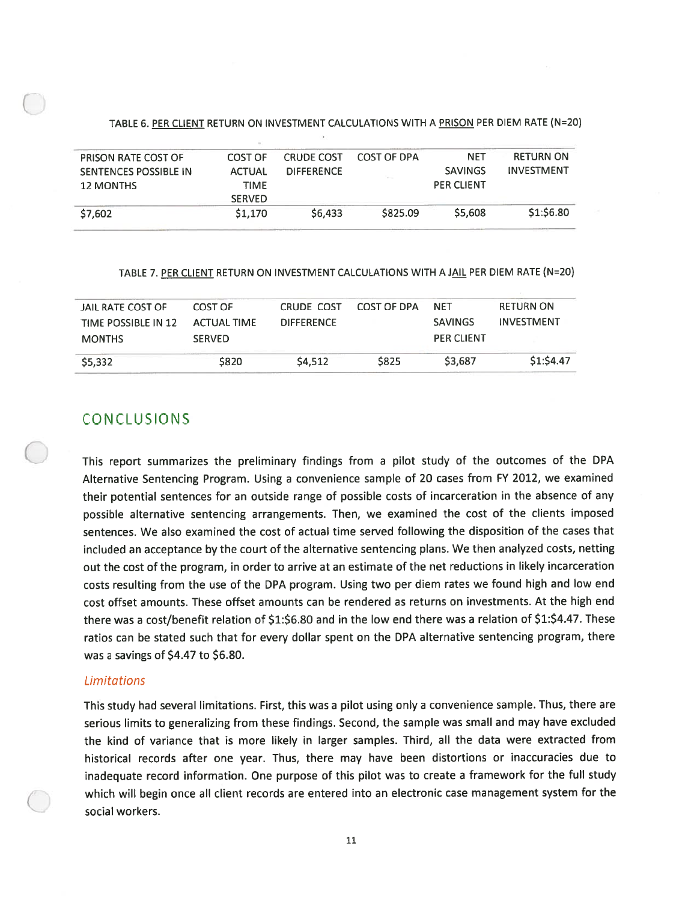### TABLE 6. PER CLIENT RETURN ON INVESTMENT CALCULATIONS WITH A PRISON PER DIEM RATE (N=20)

|               |                   |                   | <b>NET</b>        | <b>RETURN ON</b>  |
|---------------|-------------------|-------------------|-------------------|-------------------|
| <b>ACTUAL</b> | <b>DIFFERENCE</b> |                   | <b>SAVINGS</b>    | <b>INVESTMENT</b> |
| <b>TIME</b>   |                   |                   | <b>PER CLIENT</b> |                   |
| <b>SERVED</b> |                   |                   |                   |                   |
| \$1,170       | \$6.433           | \$825.09          | \$5,608           | \$1:\$6.80        |
|               | COST OF           | <b>CRUDE COST</b> | COST OF DPA       |                   |

### TABLE 7. PER CLIENT RETURN ON INVESTMENT CALCULATIONS WITH A JAIL PER DIEM RATE (N=20)

| JAIL RATE COST OF   | COST OF       | CRUDE COST        | COST OF DPA | NFT               | <b>RETURN ON</b> |
|---------------------|---------------|-------------------|-------------|-------------------|------------------|
| TIME POSSIBLE IN 12 | ACTUAL TIME   | <b>DIFFERENCE</b> |             | <b>SAVINGS</b>    | INVESTMENT       |
| <b>MONTHS</b>       | <b>SERVED</b> |                   |             | <b>PER CLIENT</b> |                  |
| \$5,332             | \$820         | \$4.512           | <b>S825</b> | \$3.687           | \$1:\$4.47       |
|                     |               |                   |             |                   |                  |

## **CONCLUSIONS**

This repor<sup>t</sup> summarizes the preliminary findings from <sup>a</sup> <sup>p</sup>ilot study of the outcomes of the DPA Alternative Sentencing Program. Using <sup>a</sup> convenience sample of <sup>20</sup> cases from FY 2012, we examined their potential sentences for an outside range of possible costs of incarceration in the absence of any possible alternative sentencing arrangements. Then, we examined the cost of the clients imposed sentences. We also examined the cost of actual time served following the disposition of the cases that included an acceptance by the court of the alternative sentencing <sup>p</sup>lans. We then analyzed costs, netting out the cost of the program, in order to arrive at an estimate of the net reductions in likely incarceration costs resulting from the use of the DPA program. Using two per diem rates we found high and low end cost offset amounts. These offset amounts can be rendered as returns on investments. At the high end there was <sup>a</sup> cost/benefit relation of \$1:\$6.80 and in the low end there was <sup>a</sup> relation of \$1:\$4.47. These ratios can be stated such that for every dollar spen<sup>t</sup> on the DPA alternative sentencing program, there was a savings of \$4.47 to \$6.80.

### Limitations

This study had several limitations. First, this was <sup>a</sup> <sup>p</sup>ilot using only <sup>a</sup> convenience sample. Thus, there are serious limits to generalizing from these findings. Second, the sample was small and may have excluded the kind of variance that is more likely in larger samples. Third, all the data were extracted from historical records after one year. Thus, there may have been distortions or inaccuracies due to inadequate record information. One purpose of this <sup>p</sup>ilot was to create <sup>a</sup> framework for the full study which will begin once all client records are entered into an electronic case managemen<sup>t</sup> system for the social workers.